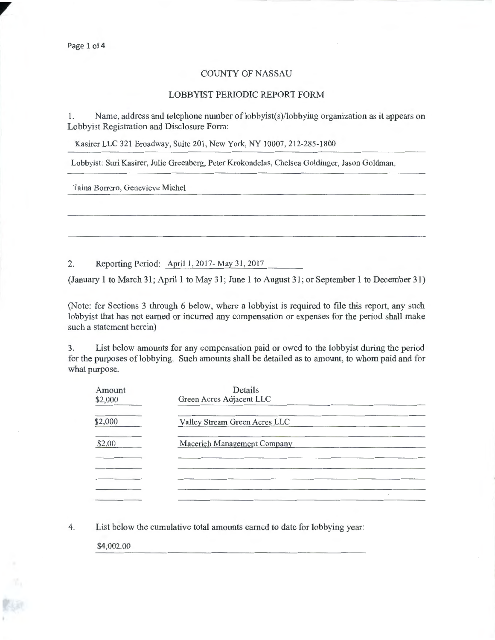## COUNTY OF NASSAU

## LOBBYIST PERIODIC REPORT FORM

1. Name, address and telephone number of lobbyist(s)/lobbying organization as it appears on Lobbyist Registration and Disclosure Form:

Kasirer LLC 321 Broadway, Suite 201, New York, NY 10007, 212-285-1800

Lobbyist: Suri Kasirer, Julie Greenberg, Peter Krokondelas, Chelsea Goldinger, Jason Goldman,

Taina Borrero, Genevieve Michel

2. Reporting Period: April 1, 2017-May 31, 2017

(January 1 to March 31; April 1 to May 31; June 1 to August 31; or September 1 to December 31)

(Note: for Sections 3 through 6 below, where a lobbyist is required to file this report, any such lobbyist that has not earned or incurred any compensation or expenses for the period shall make such a statement herein)

3. List below amounts for any compensation paid or owed to the lobbyist during the period for the purposes of lobbying. Such amounts shall be detailed as to amount, to whom paid and for what purpose.

| Amount<br>\$2,000 | Details<br>Green Acres Adjacent LLC |
|-------------------|-------------------------------------|
| \$2,000           | Valley Stream Green Acres LLC       |
| \$2.00            | Macerich Management Company         |
|                   |                                     |
|                   | é                                   |

4. List below the cumulative total amounts earned to date for lobbying year:

\$4,002.00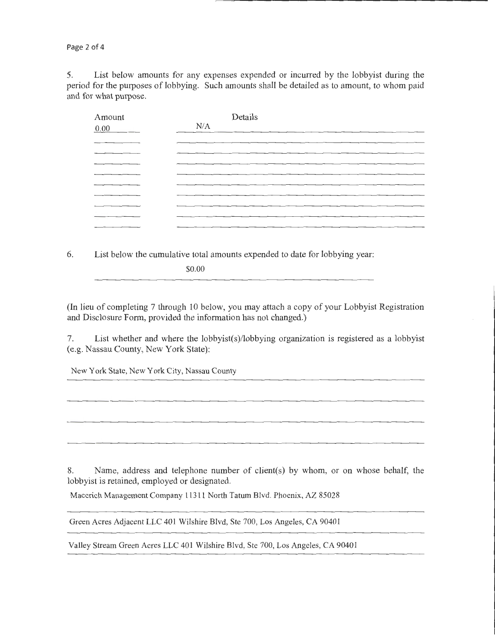Page 2 of 4

5. List below amounts for any expenses expended or incurred by the lobbyist during the period for the purposes of lobbying. Such amounts shall be detailed as to amount, to whom paid and for what purpose.

| Amount | Details                                                                                                         |  |
|--------|-----------------------------------------------------------------------------------------------------------------|--|
| 0.00   | N/A                                                                                                             |  |
|        |                                                                                                                 |  |
|        |                                                                                                                 |  |
|        |                                                                                                                 |  |
|        |                                                                                                                 |  |
|        | the contract of the contract of the contract of the contract of the contract of the contract of the contract of |  |
|        |                                                                                                                 |  |
|        |                                                                                                                 |  |
|        | the contract of the contract of the contract of the contract of the contract of the contract of the contract of |  |
|        |                                                                                                                 |  |

6. List below the cumulative total amounts expended to date for lobbying year:

\$0.00

(In lieu of completing 7 through 10 below, you may attach a copy of your Lobbyist Registration and Disclosure Form, provided the information has not changed.)

7. List whether and where the lobbyist(s)/lobbying organization is registered as a lobbyist (e.g. Nassau County, New York State):

New York State, New York City, Nassau County

8. Name, address and telephone number of client(s) by whom, or on whose behalf, the lobbyist is retained, employed or designated.

Macerich Management Company 11311 North Tatum Blvd. Phoenix, AZ 85028

Green Acres Adjacent LLC 401 Wilshire Blvd, Ste 700, Los Angeles, CA 90401

Valley Stream Green Acres LLC 401 Wilshire Blvd, Ste 700, Los Angeles, CA 90401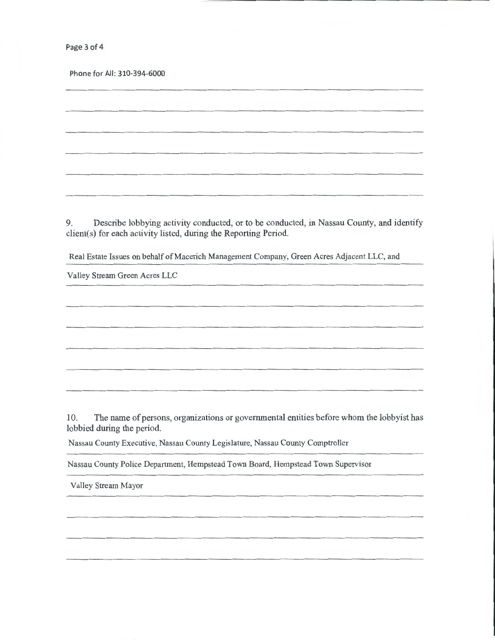Page 3 of 4

Phone for All: 310-394-6000

9. Describe lobbying activity conducted, or to be conducted, in Nassau County, and identify client(s) for each activity listed, during the Reporting Period.

Real Estate Issues on behalf of Macerich Management Company, Green Acres Adjacent LLC, and

Valley Stream Green Acres LLC

10. The name of persons, organizations or governmental entities before whom the lobbyist has lobbied during the period.

Nassau County Executive, Nassau County Legislature, Nassau County Comptroller

Nassau County Police Department, Hempstead Town Board, Hempstead Town Supervisor

Valley Stream Mayor